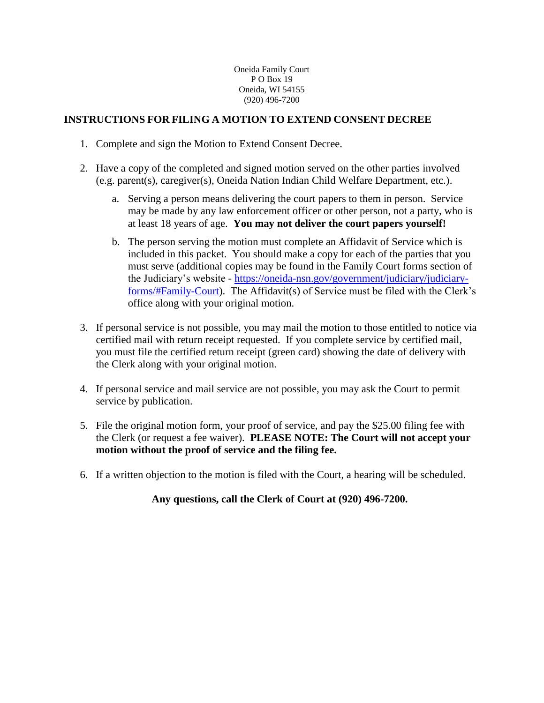Oneida Family Court P O Box 19 Oneida, WI 54155 (920) 496-7200

## **INSTRUCTIONS FOR FILING A MOTION TO EXTEND CONSENT DECREE**

- 1. Complete and sign the Motion to Extend Consent Decree.
- 2. Have a copy of the completed and signed motion served on the other parties involved (e.g. parent(s), caregiver(s), Oneida Nation Indian Child Welfare Department, etc.).
	- a. Serving a person means delivering the court papers to them in person. Service may be made by any law enforcement officer or other person, not a party, who is at least 18 years of age. **You may not deliver the court papers yourself!**
	- b. The person serving the motion must complete an Affidavit of Service which is included in this packet. You should make a copy for each of the parties that you must serve (additional copies may be found in the Family Court forms section of the Judiciary's website - [https://oneida-nsn.gov/government/judiciary/judiciary](https://oneida-nsn.gov/government/judiciary/judiciary-forms/#Family-Court)[forms/#Family-Court\)](https://oneida-nsn.gov/government/judiciary/judiciary-forms/#Family-Court). The Affidavit(s) of Service must be filed with the Clerk's office along with your original motion.
- 3. If personal service is not possible, you may mail the motion to those entitled to notice via certified mail with return receipt requested. If you complete service by certified mail, you must file the certified return receipt (green card) showing the date of delivery with the Clerk along with your original motion.
- 4. If personal service and mail service are not possible, you may ask the Court to permit service by publication.
- 5. File the original motion form, your proof of service, and pay the \$25.00 filing fee with the Clerk (or request a fee waiver). **PLEASE NOTE: The Court will not accept your motion without the proof of service and the filing fee.**
- 6. If a written objection to the motion is filed with the Court, a hearing will be scheduled.

**Any questions, call the Clerk of Court at (920) 496-7200.**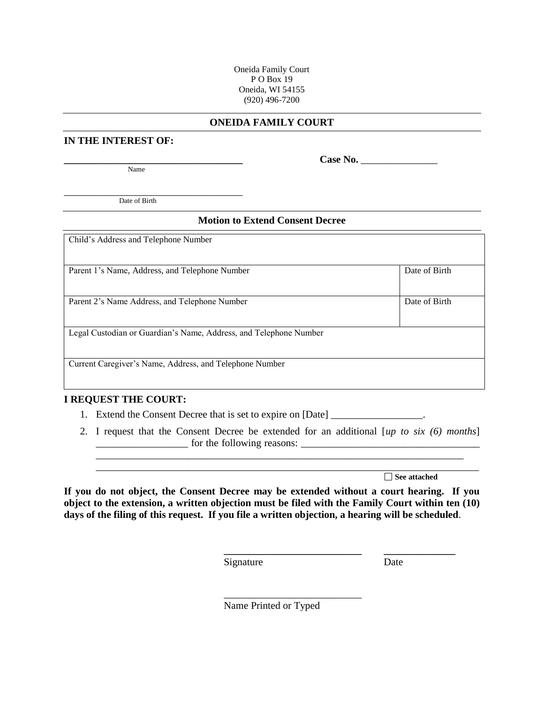Oneida Family Court P O Box 19 Oneida, WI 54155 (920) 496-7200

#### **ONEIDA FAMILY COURT**

### **IN THE INTEREST OF:**

Name

**\_\_\_\_\_\_\_\_\_\_\_\_\_\_\_\_\_\_\_\_\_\_\_\_\_\_\_\_\_\_\_\_\_\_\_ Case No.** \_\_\_\_\_\_\_\_\_\_\_\_\_\_\_

\_\_\_\_\_\_\_\_\_\_\_\_\_\_\_\_\_\_\_\_\_\_\_\_\_\_\_\_\_\_\_\_\_\_\_ Date of Birth

#### **Motion to Extend Consent Decree**

| Child's Address and Telephone Number                              |               |
|-------------------------------------------------------------------|---------------|
|                                                                   |               |
|                                                                   |               |
|                                                                   |               |
|                                                                   |               |
| Parent 1's Name, Address, and Telephone Number                    | Date of Birth |
|                                                                   |               |
|                                                                   |               |
|                                                                   |               |
|                                                                   |               |
|                                                                   |               |
| Parent 2's Name Address, and Telephone Number                     | Date of Birth |
|                                                                   |               |
|                                                                   |               |
|                                                                   |               |
|                                                                   |               |
| Legal Custodian or Guardian's Name, Address, and Telephone Number |               |
|                                                                   |               |
|                                                                   |               |
|                                                                   |               |
|                                                                   |               |
| Current Caregiver's Name, Address, and Telephone Number           |               |
|                                                                   |               |
|                                                                   |               |
|                                                                   |               |

#### **I REQUEST THE COURT:**

- 1. Extend the Consent Decree that is set to expire on [Date]
- 2. I request that the Consent Decree be extended for an additional [*up to six (6) months*] \_\_\_\_\_\_\_\_\_\_\_\_\_\_\_\_\_\_ for the following reasons: \_\_\_\_\_\_\_\_\_\_\_\_\_\_\_\_\_\_\_\_\_\_\_\_\_\_\_\_\_\_\_\_\_\_\_ \_\_\_\_\_\_\_\_\_\_\_\_\_\_\_\_\_\_\_\_\_\_\_\_\_\_\_\_\_\_\_\_\_\_\_\_\_\_\_\_\_\_\_\_\_\_\_\_\_\_\_\_\_\_\_\_\_\_\_\_\_\_\_\_\_\_\_\_\_\_\_\_

**See attached**

**If you do not object, the Consent Decree may be extended without a court hearing. If you object to the extension, a written objection must be filed with the Family Court within ten (10) days of the filing of this request. If you file a written objection, a hearing will be scheduled**.

Signature Date

**\_\_\_\_\_\_\_\_\_\_\_\_\_\_\_\_\_\_\_\_\_\_\_\_\_\_\_ \_\_\_\_\_\_\_\_\_\_\_\_\_\_**

Name Printed or Typed

\_\_\_\_\_\_\_\_\_\_\_\_\_\_\_\_\_\_\_\_\_\_\_\_\_\_\_